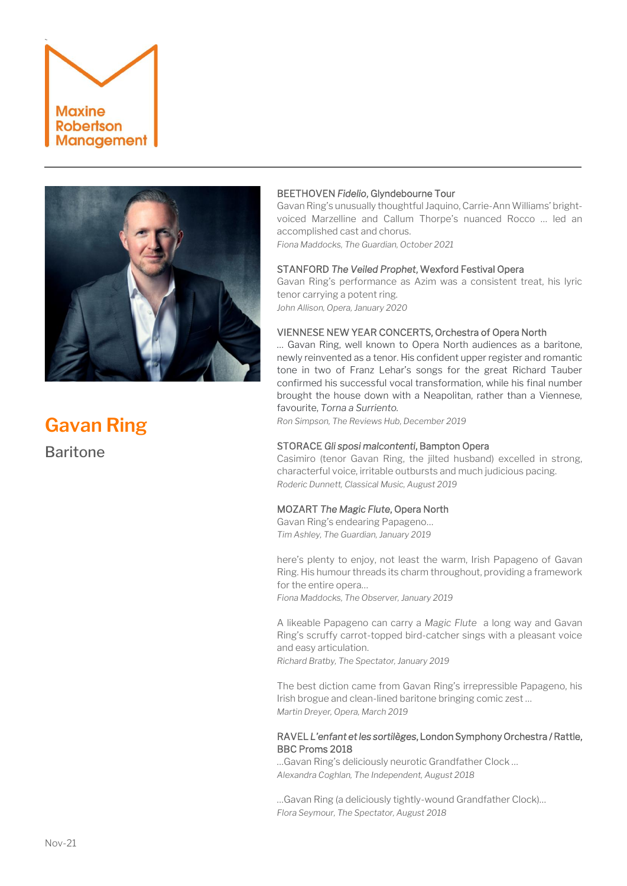



# **Gavan Ring** Baritone

# BEETHOVEN *Fidelio*, Glyndebourne Tour

Gavan Ring's unusually thoughtful Jaquino, Carrie-Ann Williams' brightvoiced Marzelline and Callum Thorpe's nuanced Rocco … led an accomplished cast and chorus.

*Fiona Maddocks, The Guardian, October 2021*

# STANFORD *The Veiled Prophet*, Wexford Festival Opera

Gavan Ring's performance as Azim was a consistent treat, his lyric tenor carrying a potent ring. *John Allison, Opera, January 2020*

# VIENNESE NEW YEAR CONCERTS, Orchestra of Opera North

… Gavan Ring, well known to Opera North audiences as a baritone, newly reinvented as a tenor. His confident upper register and romantic tone in two of Franz Lehar's songs for the great Richard Tauber confirmed his successful vocal transformation, while his final number brought the house down with a Neapolitan, rather than a Viennese, favourite, *Torna a Surriento.*

*Ron Simpson, The Reviews Hub, December 2019*

# STORACE *Gli sposi malcontenti*, Bampton Opera

Casimiro (tenor Gavan Ring, the jilted husband) excelled in strong, characterful voice, irritable outbursts and much judicious pacing. *Roderic Dunnett, Classical Music, August 2019*

# MOZART *The Magic Flute*, Opera North

Gavan Ring's endearing Papageno… *Tim Ashley, The Guardian, January 2019*

here's plenty to enjoy, not least the warm, Irish Papageno of [Gavan](https://www.gavanring.co.uk/)  [Ring.](https://www.gavanring.co.uk/) His humour threads its charm throughout, providing a framework for the entire opera…

*Fiona Maddocks, The Observer, January 2019*

A likeable Papageno can carry a *Magic Flute* a long way and Gavan Ring's scruffy carrot-topped bird-catcher sings with a pleasant voice and easy articulation.

*Richard Bratby, The Spectator, January 2019*

The best diction came from Gavan Ring's irrepressible Papageno, his Irish brogue and clean-lined baritone bringing comic zest … *Martin Dreyer, Opera, March 2019*

# RAVEL *L'enfant et les sortilèges*, London Symphony Orchestra / Rattle, BBC Proms 2018

…Gavan Ring's deliciously neurotic Grandfather Clock … *Alexandra Coghlan, The Independent, August 2018*

…Gavan Ring (a deliciously tightly-wound Grandfather Clock)… *Flora Seymour, The Spectator, August 2018*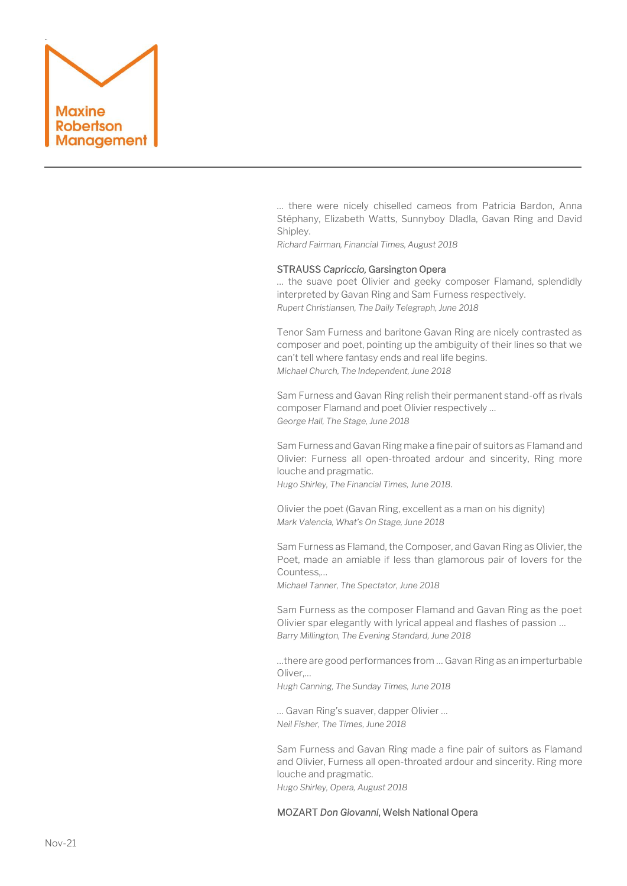

… there were nicely chiselled cameos from Patricia Bardon, Anna Stéphany, Elizabeth Watts, Sunnyboy Dladla, Gavan Ring and David Shipley.

*Richard Fairman, Financial Times, August 2018*

## STRAUSS *Capriccio,* Garsington Opera

… the suave poet Olivier and geeky composer Flamand, splendidly interpreted by Gavan Ring and Sam Furness respectively. *Rupert Christiansen, The Daily Telegraph, June 2018*

Tenor Sam Furness and baritone Gavan Ring are nicely contrasted as composer and poet, pointing up the ambiguity of their lines so that we can't tell where fantasy ends and real life begins. *Michael Church, The Independent, June 2018*

Sam Furness and Gavan Ring relish their permanent stand-off as rivals composer Flamand and poet Olivier respectively … *George Hall, The Stage, June 2018*

Sam Furness and Gavan Ring make a fine pair of suitors as Flamand and Olivier: Furness all open-throated ardour and sincerity, Ring more louche and pragmatic. *Hugo Shirley, The Financial Times, June 2018*.

Olivier the poet (Gavan Ring, excellent as a man on his dignity) *Mark Valencia, What's On Stage, June 2018*

Sam Furness as Flamand, the Composer, and Gavan Ring as Olivier, the Poet, made an amiable if less than glamorous pair of lovers for the Countess,…

*Michael Tanner, The Spectator, June 2018*

Sam Furness as the composer Flamand and Gavan Ring as the poet Olivier spar elegantly with lyrical appeal and flashes of passion … *Barry Millington, The Evening Standard, June 2018*

…there are good performances from … Gavan Ring as an imperturbable Oliver,…

*Hugh Canning, The Sunday Times, June 2018*

… Gavan Ring's suaver, dapper Olivier … *Neil Fisher, The Times, June 2018*

Sam Furness and Gavan Ring made a fine pair of suitors as Flamand and Olivier, Furness all open-throated ardour and sincerity. Ring more louche and pragmatic. *Hugo Shirley, Opera, August 2018*

# MOZART *Don Giovanni*, Welsh National Opera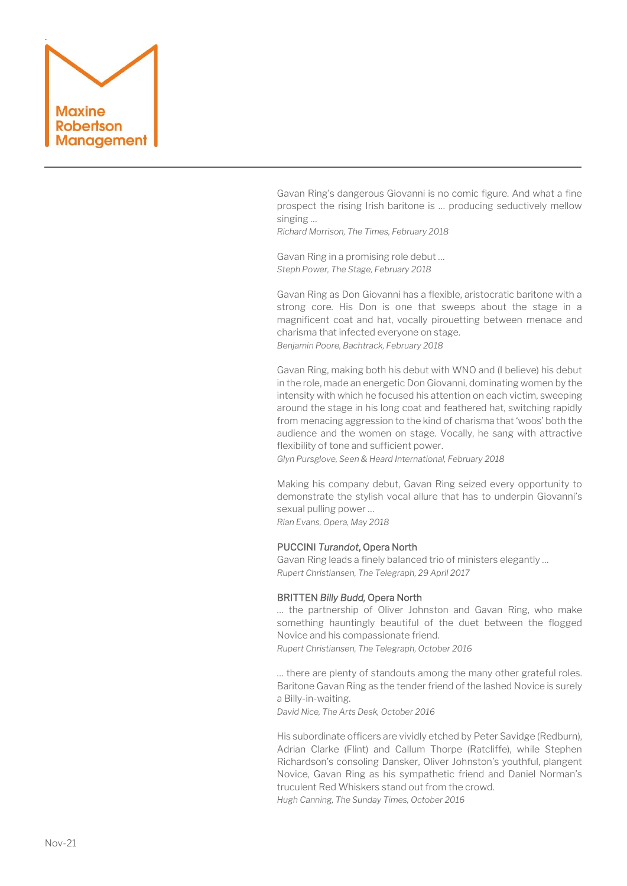

Gavan Ring's dangerous Giovanni is no comic figure. And what a fine prospect the rising Irish baritone is … producing seductively mellow singing …

*Richard Morrison, The Times, February 2018*

Gavan Ring in a promising role debut … *Steph Power, The Stage, February 2018*

Gavan Ring as Don Giovanni has a flexible, aristocratic baritone with a strong core. His Don is one that sweeps about the stage in a magnificent coat and hat, vocally pirouetting between menace and charisma that infected everyone on stage. *Benjamin Poore, Bachtrack, February 2018*

Gavan Ring, making both his debut with WNO and (I believe) his debut in the role, made an energetic Don Giovanni, dominating women by the intensity with which he focused his attention on each victim, sweeping around the stage in his long coat and feathered hat, switching rapidly from menacing aggression to the kind of charisma that 'woos' both the audience and the women on stage. Vocally, he sang with attractive flexibility of tone and sufficient power.

*Glyn Pursglove, Seen & Heard International, February 2018*

Making his company debut, Gavan Ring seized every opportunity to demonstrate the stylish vocal allure that has to underpin Giovanni's sexual pulling power … *Rian Evans, Opera, May 2018*

# PUCCINI *Turandot*, Opera North

Gavan Ring leads a finely balanced trio of ministers elegantly … *Rupert Christiansen, The Telegraph, 29 April 2017*

# BRITTEN *Billy Budd,* Opera North

… the partnership of Oliver Johnston and Gavan Ring, who make something hauntingly beautiful of the duet between the flogged Novice and his compassionate friend.

*Rupert Christiansen, The Telegraph, October 2016*

… there are plenty of standouts among the many other grateful roles. Bariton[e Gavan Ring](http://www.theartsdesk.com/opera/la-finta-giardiniera-glyndebourne) as the tender friend of the lashed Novice is surely a Billy-in-waiting.

*David Nice, The Arts Desk, October 2016*

His subordinate officers are vividly etched by Peter Savidge (Redburn), Adrian Clarke (Flint) and Callum Thorpe (Ratcliffe), while Stephen Richardson's consoling Dansker, Oliver Johnston's youthful, plangent Novice, Gavan Ring as his sympathetic friend and Daniel Norman's truculent Red Whiskers stand out from the crowd. *Hugh Canning, The Sunday Times, October 2016*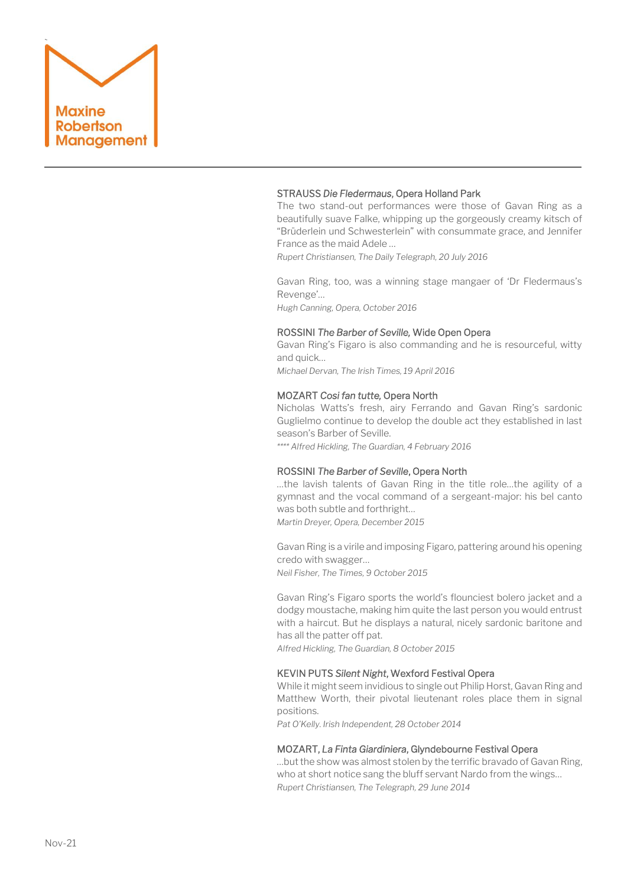

# STRAUSS *Die Fledermaus*, Opera Holland Park

The two stand-out performances were those of Gavan Ring as a beautifully suave Falke, whipping up the gorgeously creamy kitsch of "Brüderlein und Schwesterlein" with consummate grace, and Jennifer France as the maid Adele …

*Rupert Christiansen, The Daily Telegraph, 20 July 2016*

Gavan Ring, too, was a winning stage mangaer of 'Dr Fledermaus's Revenge'… *Hugh Canning, Opera, October 2016*

#### ROSSINI *The Barber of Seville,* Wide Open Opera

Gavan Ring's Figaro is also commanding and he is resourceful, witty and quick…

*Michael Dervan, The Irish Times, 19 April 2016*

#### MOZART *Cosi fan tutte,* Opera North

Nicholas Watts's fresh, airy Ferrando and Gavan Ring's sardonic Guglielmo continue to develop the double act they established in last season's [Barber of Seville.](http://www.theguardian.com/music/2015/oct/08/barber-of-seville-review-opera-north-grand-theatre-leeds-katie-bray)

*\*\*\*\* Alfred Hickling, The Guardian, 4 February 2016*

#### ROSSINI *The Barber of Seville*, Opera North

…the lavish talents of Gavan Ring in the title role…the agility of a gymnast and the vocal command of a sergeant-major: his bel canto was both subtle and forthright…

*Martin Dreyer, Opera, December 2015* 

Gavan Ring is a virile and imposing Figaro, pattering around his opening credo with swagger… *Neil Fisher, The Times, 9 October 2015*

[Gavan Ring](http://www.gavanring.co.uk/)'s Figaro sports the world's flounciest bolero jacket and a dodgy moustache, making him quite the last person you would entrust with a haircut. But he displays a natural, nicely sardonic baritone and has all the patter off pat.

*Alfred Hickling, The Guardian, 8 October 2015*

# KEVIN PUTS *Silent Night*, Wexford Festival Opera

While it might seem invidious to single out Philip Horst, Gavan Ring and Matthew Worth, their pivotal lieutenant roles place them in signal positions.

*Pat O'Kelly. Irish Independent, 28 October 2014*

#### MOZART, *La Finta Giardiniera*, Glyndebourne Festival Opera

…but the show was almost stolen by the terrific bravado of Gavan Ring, who at short notice sang the bluff servant Nardo from the wings… *Rupert Christiansen, The Telegraph, 29 June 2014*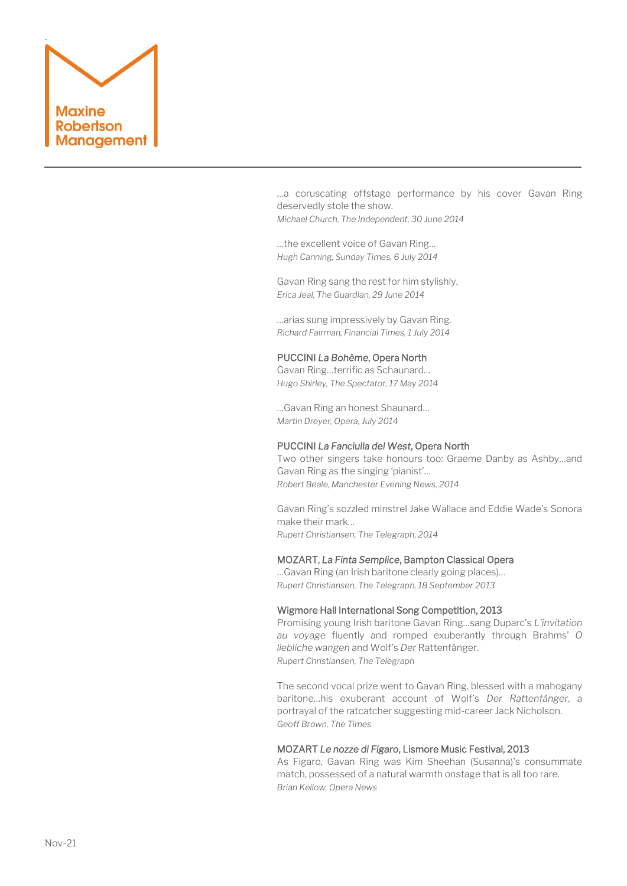

…a coruscating offstage performance by his cover Gavan Ring deservedly stole the show.

*Michael Church, The Independent, 30 June 2014*

…the excellent voice of Gavan Ring… *Hugh Canning, Sunday Times, 6 July 2014*

Gavan Ring sang the rest for him stylishly. *Erica Jeal, The Guardian, 29 June 2014*

…arias sung impressively by Gavan Ring. *Richard Fairman, Financial Times, 1 July 2014*

# PUCCINI *La Bohème*, Opera North

Gavan Ring…terrific as Schaunard… *Hugo Shirley, The Spectator, 17 May 2014*

…Gavan Ring an honest Shaunard… *Martin Dreyer, Opera, July 2014*

# PUCCINI *La Fanciulla del West*, Opera North

Two other singers take honours too: Graeme Danby as Ashby…and Gavan Ring as the singing 'pianist'… *Robert Beale, Manchester Evening News, 2014*

Gavan Ring's sozzled minstrel Jake Wallace and Eddie Wade's Sonora make their mark… *Rupert Christiansen, The Telegraph, 2014*

## MOZART, *La Finta Semplice*, Bampton Classical Opera

…Gavan Ring (an Irish baritone clearly going places)… *Rupert Christiansen, The Telegraph, 18 September 2013*

#### Wigmore Hall International Song Competition, 2013

Promising young Irish baritone Gavan Ring…sang Duparc's *L'invitation au voyage* fluently and romped exuberantly through Brahms' *O liebliche wangen* and Wolf's *Der* Rattenfänger. *Rupert Christiansen, The Telegraph*

The second vocal prize went to Gavan Ring, blessed with a mahogany baritone…his exuberant account of Wolf's *Der Rattenfänger*, a portrayal of the ratcatcher suggesting mid-career Jack Nicholson. *Geoff Brown, The Times*

# MOZART *Le nozze di Figaro*, Lismore Music Festival, 2013

As Figaro, Gavan Ring was Kim Sheehan (Susanna)'s consummate match, possessed of a natural warmth onstage that is all too rare. *Brian Kellow, Opera News*